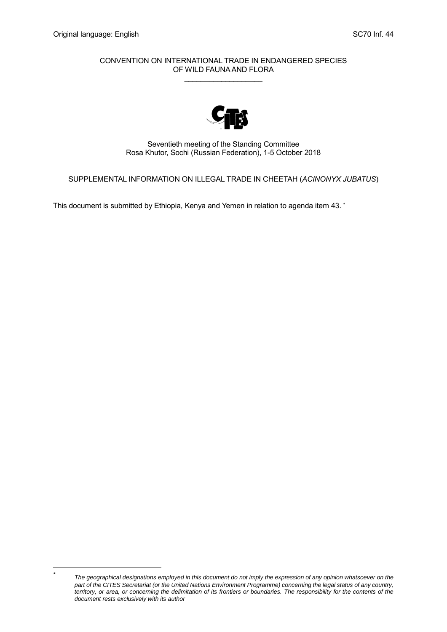CONVENTION ON INTERNATIONAL TRADE IN ENDANGERED SPECIES OF WILD FAUNA AND FLORA  $\overline{\phantom{a}}$  , and the set of the set of the set of the set of the set of the set of the set of the set of the set of the set of the set of the set of the set of the set of the set of the set of the set of the set of the s



Seventieth meeting of the Standing Committee Rosa Khutor, Sochi (Russian Federation), 1-5 October 2018

SUPPLEMENTAL INFORMATION ON ILLEGAL TRADE IN CHEETAH (*ACINONYX JUBATUS*)

This document is submitted by Ethiopia, Kenya and Yemen in relation to agenda item 43. \*

l \*

*The geographical designations employed in this document do not imply the expression of any opinion whatsoever on the part of the CITES Secretariat (or the United Nations Environment Programme) concerning the legal status of any country, territory, or area, or concerning the delimitation of its frontiers or boundaries. The responsibility for the contents of the document rests exclusively with its author*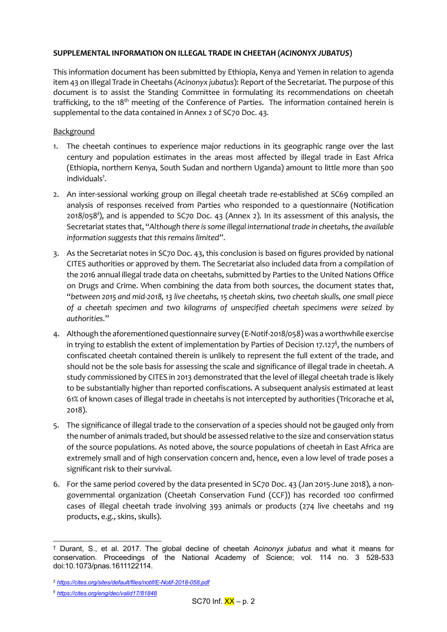# **SUPPLEMENTAL INFORMATION ON ILLEGAL TRADE IN CHEETAH (***ACINONYX JUBATUS***)**

This information document has been submitted by Ethiopia, Kenya and Yemen in relation to agenda item 43 on Illegal Trade in Cheetahs (*Acinonyx jubatus*): Report of the Secretariat. The purpose of this document is to assist the Standing Committee in formulating its recommendations on cheetah trafficking, to the 18<sup>th</sup> meeting of the Conference of Parties. The information contained herein is supplemental to the data contained in Annex 2 of SC70 Doc. 43*.* 

## **Background**

- 1. The cheetah continues to experience major reductions in its geographic range over the last century and population estimates in the areas most affected by illegal trade in East Africa (Ethiopia, northern Kenya, South Sudan and northern Uganda) amount to little more than 500 individuals† .
- 2. An inter-sessional working group on illegal cheetah trade re-established at SC69 compiled an analysis of responses received from Parties who responded to a questionnaire (Notification 2018/058‡ ), and is appended to SC70 Doc. 43 (Annex 2). In its assessment of this analysis, the Secretariat states that, "*Although there is some illegal international trade in cheetahs, the available information suggests that this remains limited*".
- 3. As the Secretariat notes in SC70 Doc. 43, this conclusion is based on figures provided by national CITES authorities or approved by them. The Secretariat also included data from a compilation of the 2016 annual illegal trade data on cheetahs, submitted by Parties to the United Nations Office on Drugs and Crime. When combining the data from both sources, the document states that, "*between 2015 and mid-2018, 13 live cheetahs, 15 cheetah skins, two cheetah skulls, one small piece of a cheetah specimen and two kilograms of unspecified cheetah specimens were seized by authorities*."
- 4. Although the aforementioned questionnaire survey (E-Notif-2018/058) was a worthwhile exercise in trying to establish the extent of implementation by Parties of Decision 17.127 $^\mathfrak{H}$ , the numbers of confiscated cheetah contained therein is unlikely to represent the full extent of the trade, and should not be the sole basis for assessing the scale and significance of illegal trade in cheetah. A study commissioned by CITES in 2013 demonstrated that the level of illegal cheetah trade is likely to be substantially higher than reported confiscations. A subsequent analysis estimated at least 61% of known cases of illegal trade in cheetahs is not intercepted by authorities (Tricorache et al, 2018).
- 5. The significance of illegal trade to the conservation of a species should not be gauged only from the number of animals traded, but should be assessed relative to the size and conservation status of the source populations. As noted above, the source populations of cheetah in East Africa are extremely small and of high conservation concern and, hence, even a low level of trade poses a significant risk to their survival.
- 6. For the same period covered by the data presented in SC70 Doc. 43 (Jan 2015-June 2018), a nongovernmental organization (Cheetah Conservation Fund (CCF)) has recorded 100 confirmed cases of illegal cheetah trade involving 393 animals or products (274 live cheetahs and 119 products, e.g., skins, skulls).

l † Durant, S., et al. 2017. The global decline of cheetah *Acinonyx jubatus* and what it means for conservation. Proceedings of the National Academy of Science; vol. 114 no. 3 528-533 doi:10.1073/pnas.1611122114.

*<sup>‡</sup> <https://cites.org/sites/default/files/notif/E-Notif-2018-058.pdf>*

*<sup>§</sup> <https://cites.org/eng/dec/valid17/81848>*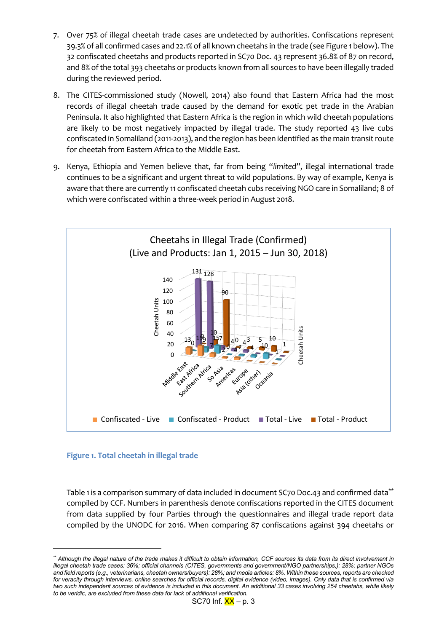- 7. Over 75% of illegal cheetah trade cases are undetected by authorities. Confiscations represent 39.3% of all confirmed cases and 22.1% of all known cheetahs in the trade (see Figure 1 below). The 32 confiscated cheetahs and products reported in SC70 Doc. 43 represent 36.8% of 87 on record, and 8% of the total 393 cheetahs or products known from all sources to have been illegally traded during the reviewed period.
- 8. The CITES-commissioned study (Nowell, 2014) also found that Eastern Africa had the most records of illegal cheetah trade caused by the demand for exotic pet trade in the Arabian Peninsula. It also highlighted that Eastern Africa is the region in which wild cheetah populations are likely to be most negatively impacted by illegal trade. The study reported 43 live cubs confiscated in Somaliland (2011-2013), and the region has been identified as the main transit route for cheetah from Eastern Africa to the Middle East.
- 9. Kenya, Ethiopia and Yemen believe that, far from being "*limited*", illegal international trade continues to be a significant and urgent threat to wild populations. By way of example, Kenya is aware that there are currently 11 confiscated cheetah cubs receiving NGO care in Somaliland; 8 of which were confiscated within a three-week period in August 2018.



### **Figure 1. Total cheetah in illegal trade**

l

Table 1 is a comparison summary of data included in document SC70 Doc.43 and confirmed data\*\* compiled by CCF. Numbers in parenthesis denote confiscations reported in the CITES document from data supplied by four Parties through the questionnaires and illegal trade report data compiled by the UNODC for 2016. When comparing 87 confiscations against 394 cheetahs or

*<sup>\*\*</sup> Although the illegal nature of the trade makes it difficult to obtain information, CCF sources its data from its direct involvement in illegal cheetah trade cases: 36%; official channels (CITES, governments and government/NGO partnerships,): 28%; partner NGOs and field reports (e.g., veterinarians, cheetah owners/buyers): 28%; and media articles: 8%. Within these sources, reports are checked for veracity through interviews, online searches for official records, digital evidence (video, images). Only data that is confirmed via two such independent sources of evidence is included in this document. An additional 33 cases involving 254 cheetahs, while likely to be veridic, are excluded from these data for lack of additional verification.*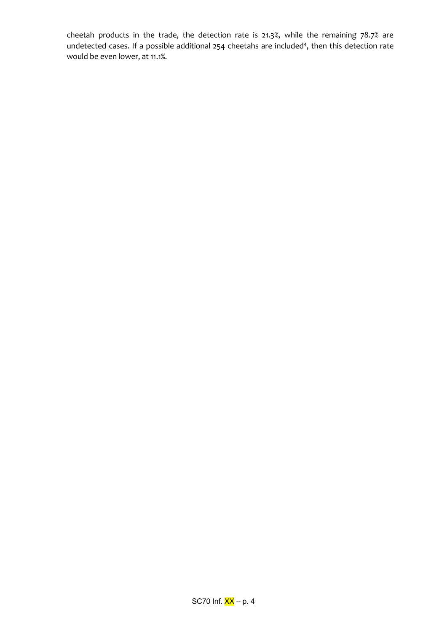cheetah products in the trade, the detection rate is 21.3%, while the remaining 78.7% are undetected cases. If a possible additional 254 cheetahs are included<sup>4</sup>, then this detection rate would be even lower, at 11.1%.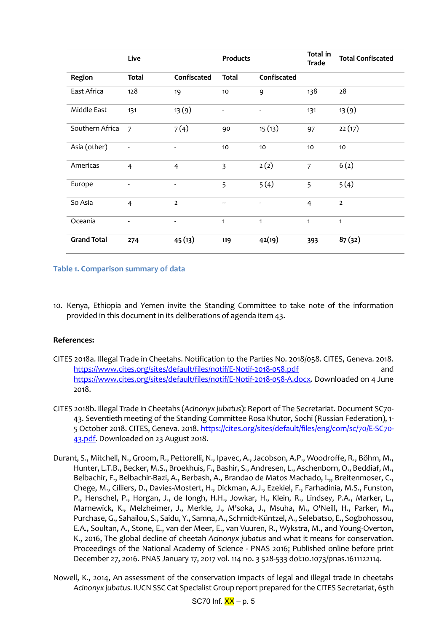|                    | Live                     |                          | <b>Products</b>          |               | Total in<br><b>Trade</b> | <b>Total Confiscated</b> |
|--------------------|--------------------------|--------------------------|--------------------------|---------------|--------------------------|--------------------------|
| Region             | <b>Total</b>             | Confiscated              | <b>Total</b>             | Confiscated   |                          |                          |
| East Africa        | 128                      | 19                       | 10                       | 9             | 138                      | 28                       |
| Middle East        | 131                      | 13(9)                    | $\overline{\phantom{a}}$ | ۰             | 131                      | 13(9)                    |
| Southern Africa    | $\overline{7}$           | 7(4)                     | 90                       | 15(13)        | 97                       | 22(17)                   |
| Asia (other)       |                          | $\overline{\phantom{a}}$ | 10                       | 10            | 10                       | 10                       |
| Americas           | 4                        | $\overline{4}$           | $\overline{3}$           | 2(2)          | $\overline{7}$           | 6(2)                     |
| Europe             | $\overline{\phantom{a}}$ | $\overline{\phantom{a}}$ | 5                        | 5(4)          | 5                        | 5(4)                     |
| So Asia            | $\overline{4}$           | $\overline{2}$           | --                       | $\frac{1}{2}$ | $\overline{4}$           | $\overline{2}$           |
| Oceania            |                          | $\overline{\phantom{a}}$ | $\mathbf{1}$             | $\mathbf{1}$  | $\mathbf{1}$             | $\mathbf{1}$             |
| <b>Grand Total</b> | 274                      | 45(13)                   | 119                      | 42(19)        | 393                      | 87(32)                   |

## **Table 1. Comparison summary of data**

10. Kenya, Ethiopia and Yemen invite the Standing Committee to take note of the information provided in this document in its deliberations of agenda item 43.

### **References:**

- CITES 2018a. Illegal Trade in Cheetahs. Notification to the Parties No. 2018/058. CITES, Geneva. 2018. <https://www.cites.org/sites/default/files/notif/E-Notif-2018-058.pdf> and [https://www.cites.org/sites/default/files/notif/E-Notif-2018-058-A.docx.](https://www.cites.org/sites/default/files/notif/E-Notif-2018-058-A.docx) Downloaded on 4 June 2018.
- CITES 2018b. Illegal Trade in Cheetahs (*Acinonyx jubatus*): Report of The Secretariat. Document SC70- 43. Seventieth meeting of the Standing Committee Rosa Khutor, Sochi (Russian Federation), 1- 5 October 2018. CITES, Geneva. 2018[. https://cites.org/sites/default/files/eng/com/sc/70/E-SC70-](https://cites.org/sites/default/files/eng/com/sc/70/E-SC70-43.pdf) [43.pdf.](https://cites.org/sites/default/files/eng/com/sc/70/E-SC70-43.pdf) Downloaded on 23 August 2018.
- Durant, S., Mitchell, N., Groom, R., Pettorelli, N., Ipavec, A., Jacobson, A.P., Woodroffe, R., Böhm, M., Hunter, L.T.B., Becker, M.S., Broekhuis, F., Bashir, S., Andresen, L., Aschenborn, O., Beddiaf, M., Belbachir, F., Belbachir-Bazi, A., Berbash, A., Brandao de Matos Machado, I.,, Breitenmoser, C., Chege, M., Cilliers, D., Davies-Mostert, H., Dickman, A.J., Ezekiel, F., Farhadinia, M.S., Funston, P., Henschel, P., Horgan, J., de Iongh, H.H., Jowkar, H., Klein, R., Lindsey, P.A., Marker, L., Marnewick, K., Melzheimer, J., Merkle, J., M'soka, J., Msuha, M., O'Neill, H., Parker, M., Purchase, G., Sahailou, S., Saidu, Y., Samna, A., Schmidt-Küntzel, A., Selebatso, E., Sogbohossou, E.A., Soultan, A., Stone, E., van der Meer, E., van Vuuren, R., Wykstra, M., and Young-Overton, K., 2016, The global decline of cheetah *Acinonyx jubatus* and what it means for conservation. Proceedings of the National Academy of Science - PNAS 2016; Published online before print December 27, 2016. PNAS January 17, 2017 vol. 114 no. 3 528-533 doi:10.1073/pnas.1611122114.
- Nowell, K., 2014, An assessment of the conservation impacts of legal and illegal trade in cheetahs *Acinonyx jubatus*. IUCN SSC Cat Specialist Group report prepared for the CITES Secretariat, 65th